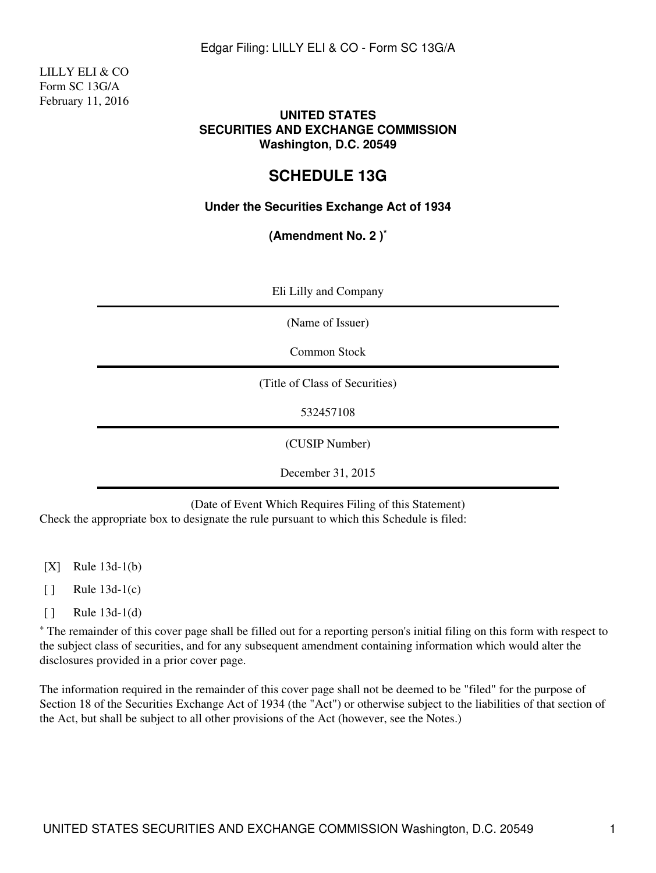LILLY ELI & CO Form SC 13G/A February 11, 2016

### **UNITED STATES SECURITIES AND EXCHANGE COMMISSION Washington, D.C. 20549**

# **SCHEDULE 13G**

# **Under the Securities Exchange Act of 1934**

**(Amendment No. 2 )\***

| Eli Lilly and Company          |
|--------------------------------|
| (Name of Issuer)               |
| Common Stock                   |
| (Title of Class of Securities) |
| 532457108                      |
| (CUSIP Number)                 |
| December 31, 2015              |

(Date of Event Which Requires Filing of this Statement) Check the appropriate box to designate the rule pursuant to which this Schedule is filed:

- [X] Rule 13d-1(b)
- $\lceil \cdot \rceil$  Rule 13d-1(c)
- [ ] Rule 13d-1(d)

\* The remainder of this cover page shall be filled out for a reporting person's initial filing on this form with respect to the subject class of securities, and for any subsequent amendment containing information which would alter the disclosures provided in a prior cover page.

The information required in the remainder of this cover page shall not be deemed to be "filed" for the purpose of Section 18 of the Securities Exchange Act of 1934 (the "Act") or otherwise subject to the liabilities of that section of the Act, but shall be subject to all other provisions of the Act (however, see the Notes.)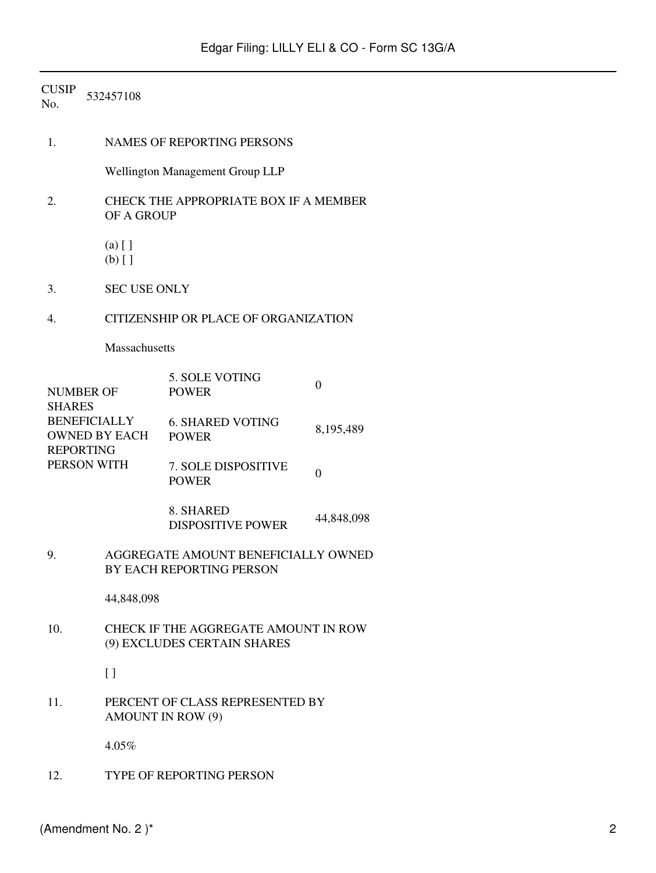| <b>CUSIP</b><br>No.                                                                                                 | 532457108            |                                                                 |                  |  |  |  |
|---------------------------------------------------------------------------------------------------------------------|----------------------|-----------------------------------------------------------------|------------------|--|--|--|
| 1.                                                                                                                  |                      | NAMES OF REPORTING PERSONS                                      |                  |  |  |  |
|                                                                                                                     |                      | Wellington Management Group LLP                                 |                  |  |  |  |
| 2.                                                                                                                  | OF A GROUP           | CHECK THE APPROPRIATE BOX IF A MEMBER                           |                  |  |  |  |
|                                                                                                                     | $(a)$ []<br>$(b)$ [] |                                                                 |                  |  |  |  |
| 3.                                                                                                                  | <b>SEC USE ONLY</b>  |                                                                 |                  |  |  |  |
| 4.                                                                                                                  |                      | CITIZENSHIP OR PLACE OF ORGANIZATION                            |                  |  |  |  |
|                                                                                                                     |                      | Massachusetts                                                   |                  |  |  |  |
| <b>NUMBER OF</b><br><b>SHARES</b><br><b>BENEFICIALLY</b><br><b>OWNED BY EACH</b><br><b>REPORTING</b><br>PERSON WITH |                      | 5. SOLE VOTING<br><b>POWER</b>                                  | $\boldsymbol{0}$ |  |  |  |
|                                                                                                                     |                      | <b>6. SHARED VOTING</b><br><b>POWER</b>                         | 8,195,489        |  |  |  |
|                                                                                                                     |                      | 7. SOLE DISPOSITIVE<br><b>POWER</b>                             | $\boldsymbol{0}$ |  |  |  |
|                                                                                                                     |                      | 8. SHARED<br><b>DISPOSITIVE POWER</b>                           | 44,848,098       |  |  |  |
| 9.                                                                                                                  |                      | AGGREGATE AMOUNT BENEFICIALLY OWNED<br>BY EACH REPORTING PERSON |                  |  |  |  |
|                                                                                                                     |                      | 44,848,098                                                      |                  |  |  |  |
| 10.<br>CHECK IF THE AGGREGATE AMOUNT IN ROW<br>(9) EXCLUDES CERTAIN SHARES                                          |                      |                                                                 |                  |  |  |  |
|                                                                                                                     | $\left[ \ \right]$   |                                                                 |                  |  |  |  |
| 11.                                                                                                                 |                      | PERCENT OF CLASS REPRESENTED BY<br>AMOUNT IN ROW (9)            |                  |  |  |  |
|                                                                                                                     | 4.05%                |                                                                 |                  |  |  |  |
| 12.                                                                                                                 |                      | <b>TYPE OF REPORTING PERSON</b>                                 |                  |  |  |  |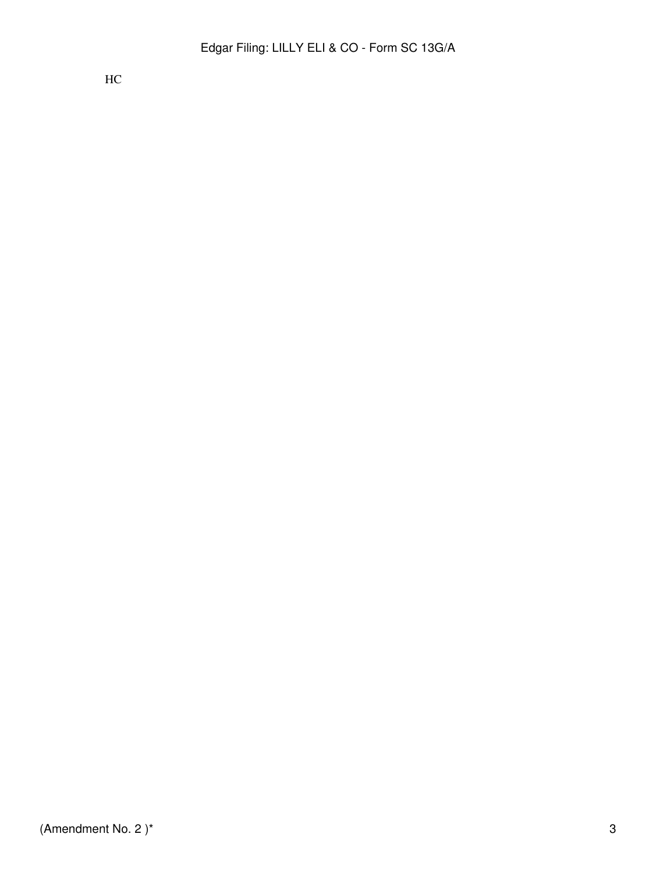HC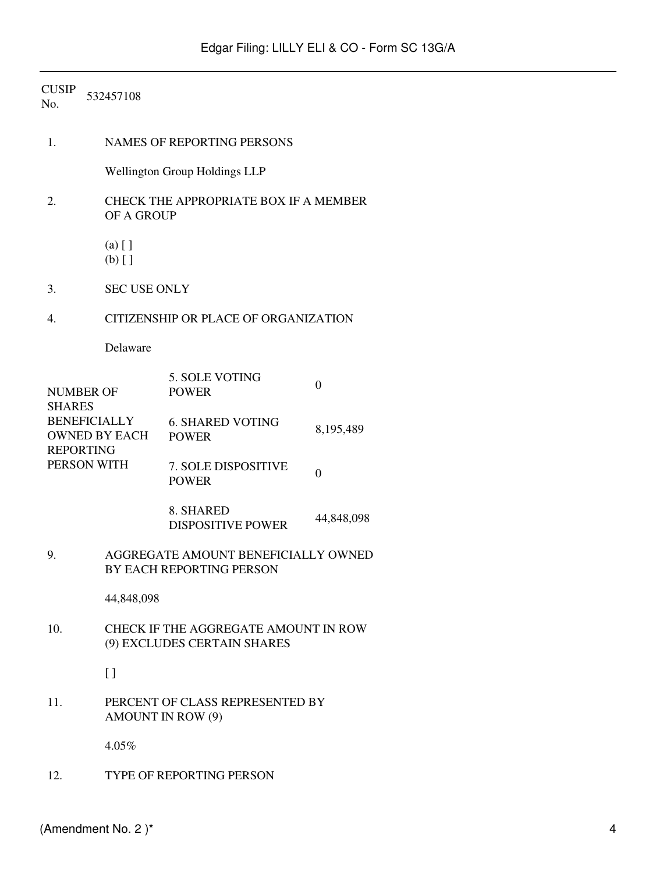| <b>CUSIP</b><br>No.                                                                                                 | 532457108            |                                                                     |                |  |  |  |
|---------------------------------------------------------------------------------------------------------------------|----------------------|---------------------------------------------------------------------|----------------|--|--|--|
| 1.                                                                                                                  |                      | <b>NAMES OF REPORTING PERSONS</b>                                   |                |  |  |  |
|                                                                                                                     |                      | <b>Wellington Group Holdings LLP</b>                                |                |  |  |  |
| 2.                                                                                                                  | OF A GROUP           | CHECK THE APPROPRIATE BOX IF A MEMBER                               |                |  |  |  |
|                                                                                                                     | $(a)$ []<br>$(b)$ [] |                                                                     |                |  |  |  |
| 3.                                                                                                                  | <b>SEC USE ONLY</b>  |                                                                     |                |  |  |  |
| 4.                                                                                                                  |                      | CITIZENSHIP OR PLACE OF ORGANIZATION                                |                |  |  |  |
|                                                                                                                     | Delaware             |                                                                     |                |  |  |  |
| <b>NUMBER OF</b><br><b>SHARES</b><br><b>BENEFICIALLY</b><br><b>OWNED BY EACH</b><br><b>REPORTING</b><br>PERSON WITH |                      | 5. SOLE VOTING<br><b>POWER</b>                                      | $\mathbf{0}$   |  |  |  |
|                                                                                                                     |                      | <b>6. SHARED VOTING</b><br><b>POWER</b>                             | 8,195,489      |  |  |  |
|                                                                                                                     |                      | 7. SOLE DISPOSITIVE<br><b>POWER</b>                                 | $\overline{0}$ |  |  |  |
|                                                                                                                     |                      | 8. SHARED<br><b>DISPOSITIVE POWER</b>                               | 44,848,098     |  |  |  |
| 9.                                                                                                                  |                      | AGGREGATE AMOUNT BENEFICIALLY OWNED<br>BY EACH REPORTING PERSON     |                |  |  |  |
|                                                                                                                     | 44,848,098           |                                                                     |                |  |  |  |
| 10.                                                                                                                 |                      | CHECK IF THE AGGREGATE AMOUNT IN ROW<br>(9) EXCLUDES CERTAIN SHARES |                |  |  |  |
|                                                                                                                     | $\left[\right]$      |                                                                     |                |  |  |  |
| 11.                                                                                                                 |                      | PERCENT OF CLASS REPRESENTED BY<br><b>AMOUNT IN ROW (9)</b>         |                |  |  |  |
|                                                                                                                     | 4.05%                |                                                                     |                |  |  |  |
| 12.                                                                                                                 |                      | TYPE OF REPORTING PERSON                                            |                |  |  |  |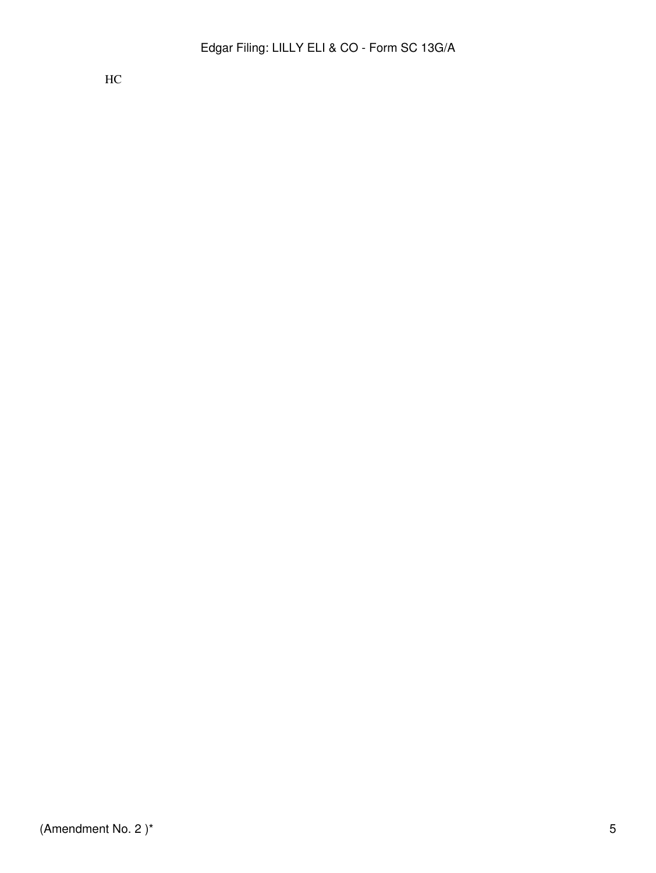HC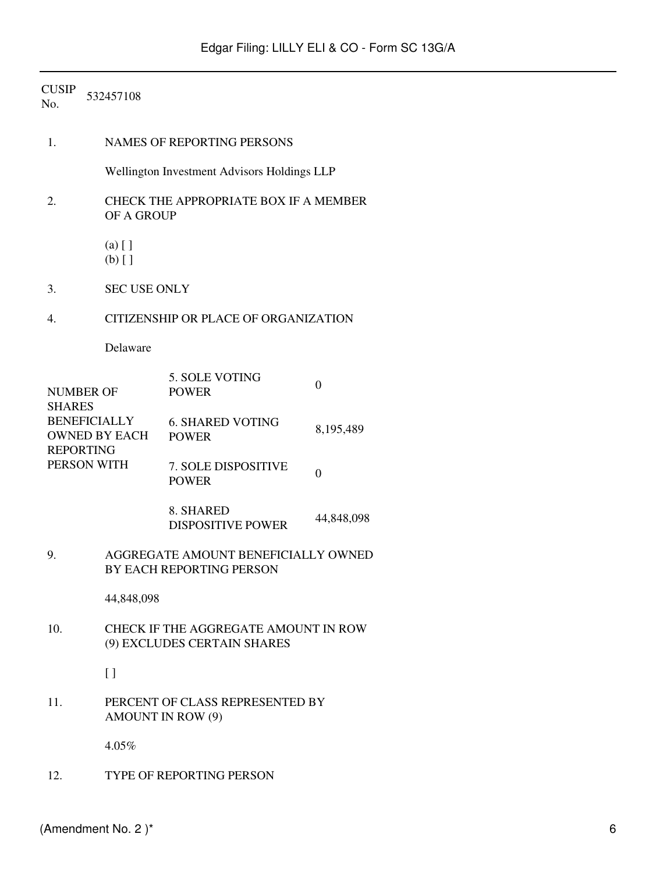| <b>CUSIP</b><br>No.                                                                                                 | 532457108            |                                                             |                  |  |  |  |
|---------------------------------------------------------------------------------------------------------------------|----------------------|-------------------------------------------------------------|------------------|--|--|--|
| 1.                                                                                                                  |                      | <b>NAMES OF REPORTING PERSONS</b>                           |                  |  |  |  |
|                                                                                                                     |                      | Wellington Investment Advisors Holdings LLP                 |                  |  |  |  |
| 2.                                                                                                                  | OF A GROUP           | CHECK THE APPROPRIATE BOX IF A MEMBER                       |                  |  |  |  |
|                                                                                                                     | $(a)$ []<br>$(b)$ [] |                                                             |                  |  |  |  |
| 3.                                                                                                                  | <b>SEC USE ONLY</b>  |                                                             |                  |  |  |  |
| 4.                                                                                                                  |                      | <b>CITIZENSHIP OR PLACE OF ORGANIZATION</b>                 |                  |  |  |  |
|                                                                                                                     | Delaware             |                                                             |                  |  |  |  |
| <b>NUMBER OF</b><br><b>SHARES</b><br><b>BENEFICIALLY</b><br><b>OWNED BY EACH</b><br><b>REPORTING</b><br>PERSON WITH |                      | 5. SOLE VOTING<br><b>POWER</b>                              | $\overline{0}$   |  |  |  |
|                                                                                                                     |                      | <b>6. SHARED VOTING</b><br><b>POWER</b>                     | 8,195,489        |  |  |  |
|                                                                                                                     |                      | 7. SOLE DISPOSITIVE<br><b>POWER</b>                         | $\boldsymbol{0}$ |  |  |  |
|                                                                                                                     |                      | 8. SHARED<br><b>DISPOSITIVE POWER</b>                       | 44,848,098       |  |  |  |
| AGGREGATE AMOUNT BENEFICIALLY OWNED<br>9.<br><b>BY EACH REPORTING PERSON</b>                                        |                      |                                                             |                  |  |  |  |
|                                                                                                                     | 44,848,098           |                                                             |                  |  |  |  |
| 10.<br>CHECK IF THE AGGREGATE AMOUNT IN ROW<br>(9) EXCLUDES CERTAIN SHARES                                          |                      |                                                             |                  |  |  |  |
|                                                                                                                     | $\left[\right]$      |                                                             |                  |  |  |  |
| 11.                                                                                                                 |                      | PERCENT OF CLASS REPRESENTED BY<br><b>AMOUNT IN ROW (9)</b> |                  |  |  |  |
|                                                                                                                     | 4.05%                |                                                             |                  |  |  |  |
| 12.                                                                                                                 |                      | TYPE OF REPORTING PERSON                                    |                  |  |  |  |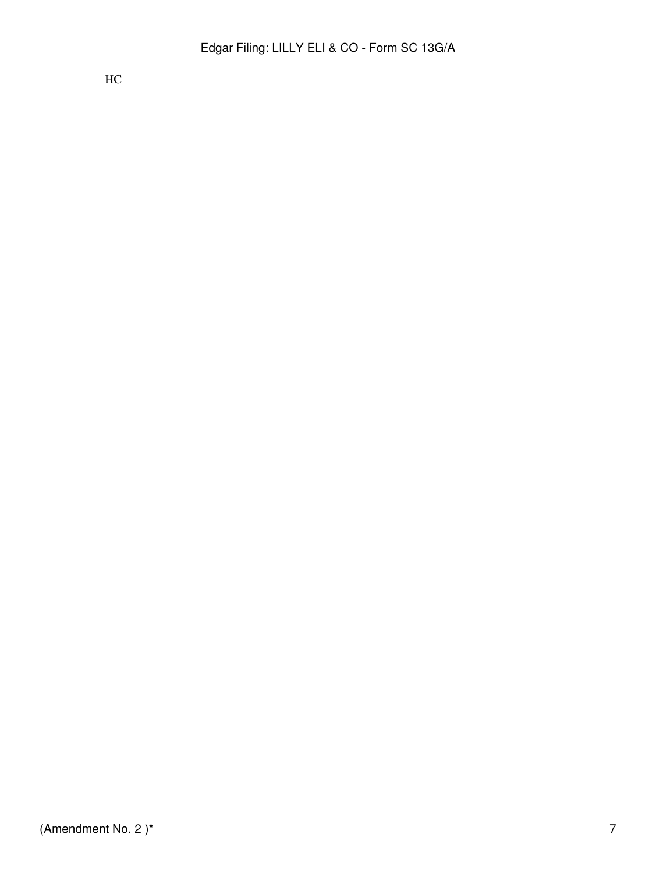HC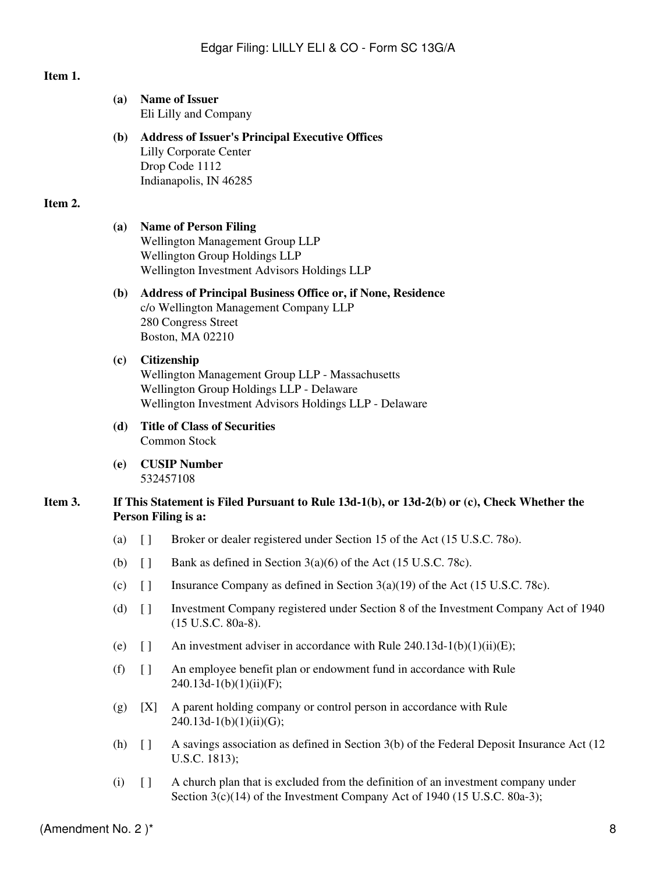# **Item 1.**

|         | (a)                                                                                                                                                                         |                                                                                                                                                        | <b>Name of Issuer</b><br>Eli Lilly and Company                                                                                      |  |
|---------|-----------------------------------------------------------------------------------------------------------------------------------------------------------------------------|--------------------------------------------------------------------------------------------------------------------------------------------------------|-------------------------------------------------------------------------------------------------------------------------------------|--|
|         | <b>(b)</b>                                                                                                                                                                  |                                                                                                                                                        | <b>Address of Issuer's Principal Executive Offices</b><br><b>Lilly Corporate Center</b><br>Drop Code 1112<br>Indianapolis, IN 46285 |  |
| Item 2. |                                                                                                                                                                             |                                                                                                                                                        |                                                                                                                                     |  |
|         | (a)                                                                                                                                                                         | <b>Name of Person Filing</b><br>Wellington Management Group LLP<br>Wellington Group Holdings LLP<br>Wellington Investment Advisors Holdings LLP        |                                                                                                                                     |  |
|         | <b>(b)</b>                                                                                                                                                                  | <b>Address of Principal Business Office or, if None, Residence</b><br>c/o Wellington Management Company LLP<br>280 Congress Street<br>Boston, MA 02210 |                                                                                                                                     |  |
|         | Citizenship<br>(c)<br>Wellington Management Group LLP - Massachusetts<br>Wellington Group Holdings LLP - Delaware<br>Wellington Investment Advisors Holdings LLP - Delaware |                                                                                                                                                        |                                                                                                                                     |  |
|         | <b>Title of Class of Securities</b><br>(d)<br>Common Stock                                                                                                                  |                                                                                                                                                        |                                                                                                                                     |  |
|         | (e)                                                                                                                                                                         |                                                                                                                                                        | <b>CUSIP Number</b><br>532457108                                                                                                    |  |
| Item 3. |                                                                                                                                                                             |                                                                                                                                                        | If This Statement is Filed Pursuant to Rule $13d-1(b)$ , or $13d-2(b)$ or $(c)$ , Check Whether the<br>Person Filing is a:          |  |
|         | (a)                                                                                                                                                                         | $[ \ ]$                                                                                                                                                | Broker or dealer registered under Section 15 of the Act (15 U.S.C. 780).                                                            |  |
|         | (b)                                                                                                                                                                         | $\begin{array}{c} \square \end{array}$                                                                                                                 | Bank as defined in Section $3(a)(6)$ of the Act (15 U.S.C. 78c).                                                                    |  |
|         |                                                                                                                                                                             | $(c)$ []                                                                                                                                               | Insurance Company as defined in Section $3(a)(19)$ of the Act (15 U.S.C. 78c).                                                      |  |
|         | (d)                                                                                                                                                                         | $[ \ ]$                                                                                                                                                | Investment Company registered under Section 8 of the Investment Company Act of 1940<br>(15 U.S.C. 80a-8).                           |  |
|         | (e)                                                                                                                                                                         | $[ \ ]$                                                                                                                                                | An investment adviser in accordance with Rule $240.13d-1(b)(1)(ii)(E)$ ;                                                            |  |
|         | (f)                                                                                                                                                                         | $\left[\right]$                                                                                                                                        | An employee benefit plan or endowment fund in accordance with Rule<br>$240.13d-1(b)(1)(ii)(F);$                                     |  |
|         | (g)                                                                                                                                                                         | [X]                                                                                                                                                    | A parent holding company or control person in accordance with Rule<br>$240.13d-1(b)(1)(ii)(G);$                                     |  |
|         | (h)                                                                                                                                                                         | $[ \ ]$                                                                                                                                                | A savings association as defined in Section 3(b) of the Federal Deposit Insurance Act (12)<br>U.S.C. 1813);                         |  |
|         | (i)                                                                                                                                                                         | $\Box$                                                                                                                                                 | A church plan that is excluded from the definition of an investment company under                                                   |  |

Section 3(c)(14) of the Investment Company Act of 1940 (15 U.S.C. 80a-3);

(Amendment No. 2) $*$  8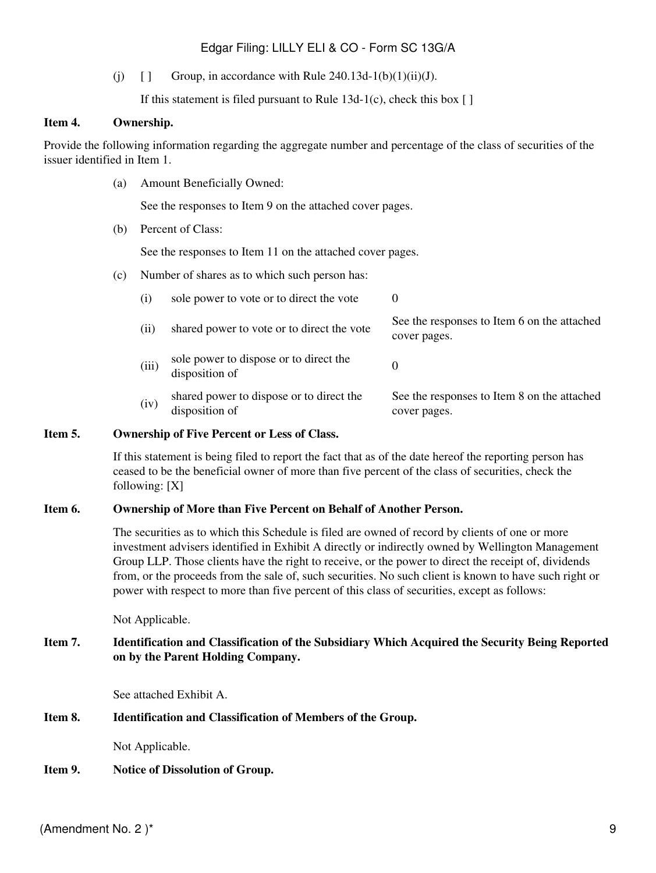# Edgar Filing: LILLY ELI & CO - Form SC 13G/A

(i)  $\Box$  Group, in accordance with Rule 240.13d-1(b)(1)(ii)(J).

If this statement is filed pursuant to Rule  $13d-1(c)$ , check this box [ ]

#### **Item 4. Ownership.**

Provide the following information regarding the aggregate number and percentage of the class of securities of the issuer identified in Item 1.

(a) Amount Beneficially Owned:

See the responses to Item 9 on the attached cover pages.

(b) Percent of Class:

See the responses to Item 11 on the attached cover pages.

(c) Number of shares as to which such person has:

| (i)   | sole power to vote or to direct the vote                   | $\theta$                                                    |
|-------|------------------------------------------------------------|-------------------------------------------------------------|
| (i)   | shared power to vote or to direct the vote                 | See the responses to Item 6 on the attached<br>cover pages. |
| (iii) | sole power to dispose or to direct the<br>disposition of   |                                                             |
| (iv)  | shared power to dispose or to direct the<br>disposition of | See the responses to Item 8 on the attached<br>cover pages. |

#### **Item 5. Ownership of Five Percent or Less of Class.**

If this statement is being filed to report the fact that as of the date hereof the reporting person has ceased to be the beneficial owner of more than five percent of the class of securities, check the following: [X]

### **Item 6. Ownership of More than Five Percent on Behalf of Another Person.**

The securities as to which this Schedule is filed are owned of record by clients of one or more investment advisers identified in Exhibit A directly or indirectly owned by Wellington Management Group LLP. Those clients have the right to receive, or the power to direct the receipt of, dividends from, or the proceeds from the sale of, such securities. No such client is known to have such right or power with respect to more than five percent of this class of securities, except as follows:

Not Applicable.

#### **Item 7. Identification and Classification of the Subsidiary Which Acquired the Security Being Reported on by the Parent Holding Company.**

See attached Exhibit A.

### **Item 8. Identification and Classification of Members of the Group.**

Not Applicable.

**Item 9. Notice of Dissolution of Group.**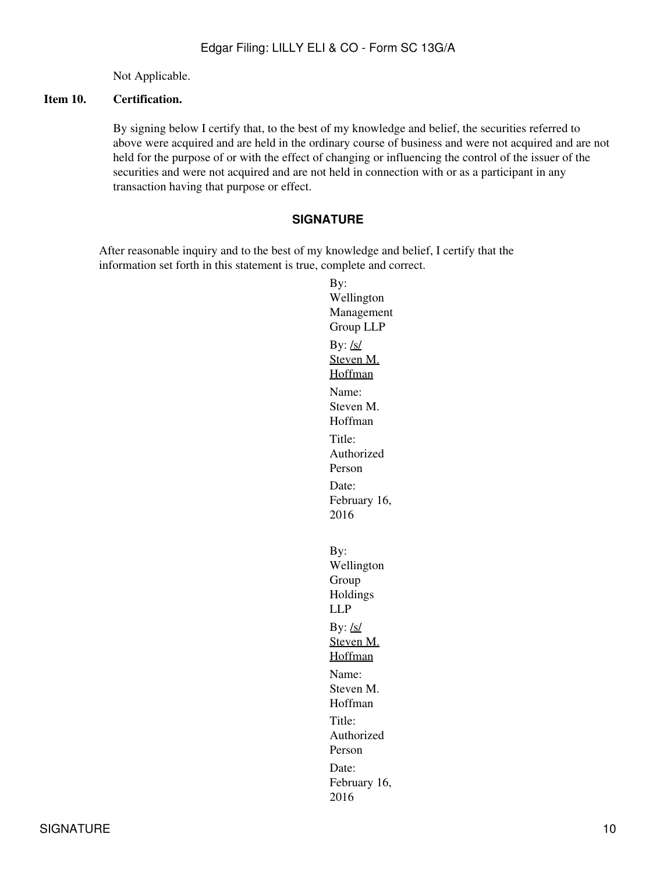Not Applicable.

### **Item 10. Certification.**

By signing below I certify that, to the best of my knowledge and belief, the securities referred to above were acquired and are held in the ordinary course of business and were not acquired and are not held for the purpose of or with the effect of changing or influencing the control of the issuer of the securities and were not acquired and are not held in connection with or as a participant in any transaction having that purpose or effect.

#### **SIGNATURE**

After reasonable inquiry and to the best of my knowledge and belief, I certify that the information set forth in this statement is true, complete and correct.

By: Wellington Management Group LLP By:  $\frac{\text{ls}}{\text{ls}}$ Steven M. Hoffman Name: Steven M. Hoffman Title: Authorized Person Date: February 16, 2016 By: Wellington Group Holdings LLP By:  $/s/$ Steven M. Hoffman Name: Steven M. Hoffman Title: Authorized Person Date: February 16, 2016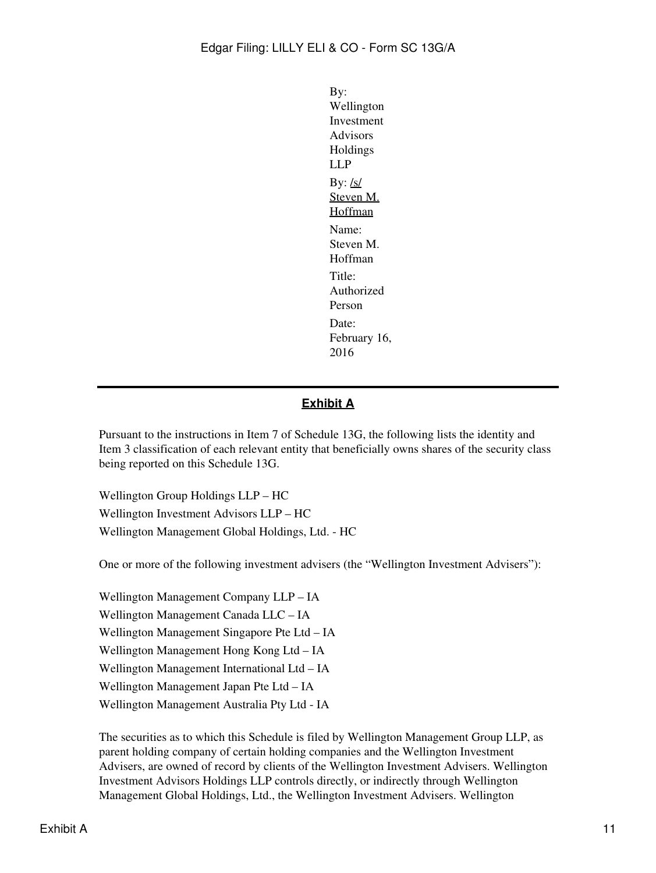By: Wellington Investment Advisors Holdings LLP By:  $/s/$ Steven M. **Hoffman** Name: Steven M. Hoffman Title: Authorized Person Date: February 16, 2016

# **Exhibit A**

Pursuant to the instructions in Item 7 of Schedule 13G, the following lists the identity and Item 3 classification of each relevant entity that beneficially owns shares of the security class being reported on this Schedule 13G.

Wellington Group Holdings LLP – HC Wellington Investment Advisors LLP – HC Wellington Management Global Holdings, Ltd. - HC

One or more of the following investment advisers (the "Wellington Investment Advisers"):

Wellington Management Company LLP – IA Wellington Management Canada LLC – IA Wellington Management Singapore Pte Ltd – IA Wellington Management Hong Kong Ltd – IA Wellington Management International Ltd – IA Wellington Management Japan Pte Ltd – IA Wellington Management Australia Pty Ltd - IA

The securities as to which this Schedule is filed by Wellington Management Group LLP, as parent holding company of certain holding companies and the Wellington Investment Advisers, are owned of record by clients of the Wellington Investment Advisers. Wellington Investment Advisors Holdings LLP controls directly, or indirectly through Wellington Management Global Holdings, Ltd., the Wellington Investment Advisers. Wellington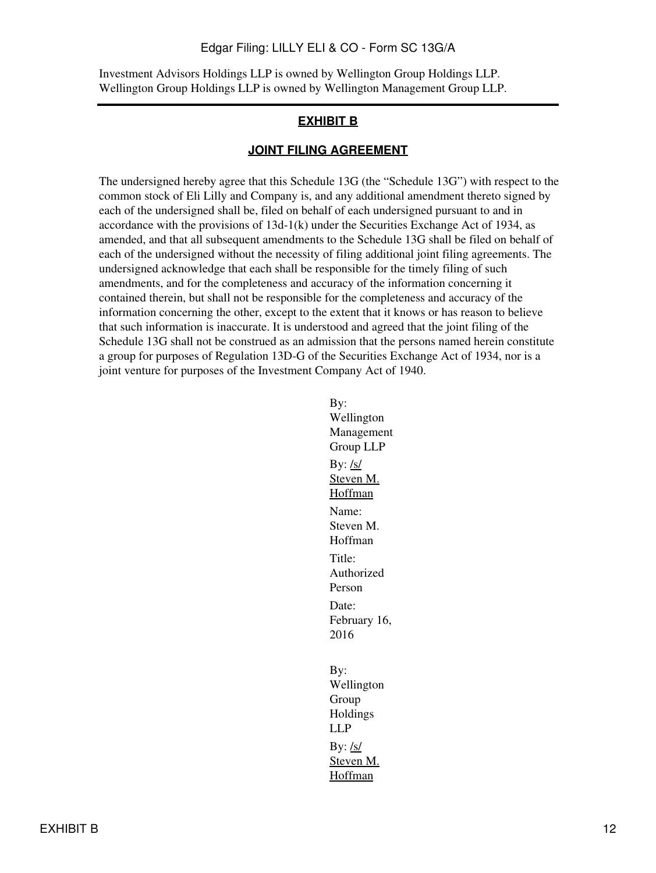#### Edgar Filing: LILLY ELI & CO - Form SC 13G/A

Investment Advisors Holdings LLP is owned by Wellington Group Holdings LLP. Wellington Group Holdings LLP is owned by Wellington Management Group LLP.

## **EXHIBIT B**

#### **JOINT FILING AGREEMENT**

The undersigned hereby agree that this Schedule 13G (the "Schedule 13G") with respect to the common stock of Eli Lilly and Company is, and any additional amendment thereto signed by each of the undersigned shall be, filed on behalf of each undersigned pursuant to and in accordance with the provisions of  $13d-1(k)$  under the Securities Exchange Act of 1934, as amended, and that all subsequent amendments to the Schedule 13G shall be filed on behalf of each of the undersigned without the necessity of filing additional joint filing agreements. The undersigned acknowledge that each shall be responsible for the timely filing of such amendments, and for the completeness and accuracy of the information concerning it contained therein, but shall not be responsible for the completeness and accuracy of the information concerning the other, except to the extent that it knows or has reason to believe that such information is inaccurate. It is understood and agreed that the joint filing of the Schedule 13G shall not be construed as an admission that the persons named herein constitute a group for purposes of Regulation 13D-G of the Securities Exchange Act of 1934, nor is a joint venture for purposes of the Investment Company Act of 1940.

> By: Wellington Management Group LLP By:  $/s/$ Steven M. Hoffman Name: Steven M. Hoffman Title: Authorized Person Date: February 16, 2016 By: Wellington Group Holdings LLP By:  $/s/$ Steven M. Hoffman